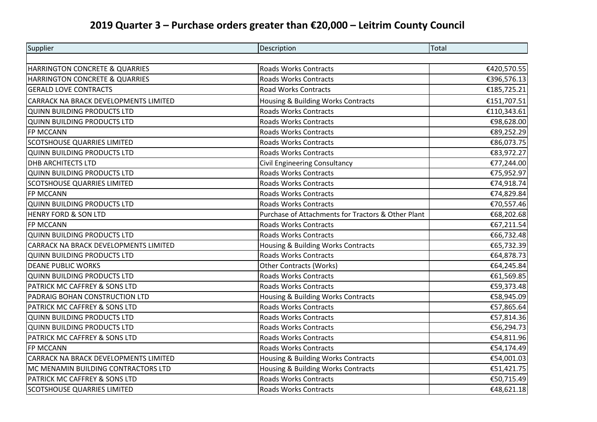## **2019 Quarter 3 – Purchase orders greater than €20,000 – Leitrim County Council**

| Supplier                              | Description                                        | Total       |
|---------------------------------------|----------------------------------------------------|-------------|
|                                       |                                                    |             |
| HARRINGTON CONCRETE & QUARRIES        | Roads Works Contracts                              | €420,570.55 |
| HARRINGTON CONCRETE & QUARRIES        | <b>Roads Works Contracts</b>                       | €396,576.13 |
| <b>GERALD LOVE CONTRACTS</b>          | <b>Road Works Contracts</b>                        | €185,725.21 |
| CARRACK NA BRACK DEVELOPMENTS LIMITED | Housing & Building Works Contracts                 | €151,707.51 |
| <b>QUINN BUILDING PRODUCTS LTD</b>    | <b>Roads Works Contracts</b>                       | €110,343.61 |
| <b>QUINN BUILDING PRODUCTS LTD</b>    | <b>Roads Works Contracts</b>                       | €98,628.00  |
| FP MCCANN                             | <b>Roads Works Contracts</b>                       | €89,252.29  |
| <b>SCOTSHOUSE QUARRIES LIMITED</b>    | <b>Roads Works Contracts</b>                       | €86,073.75  |
| QUINN BUILDING PRODUCTS LTD           | Roads Works Contracts                              | €83,972.27  |
| <b>DHB ARCHITECTS LTD</b>             | Civil Engineering Consultancy                      | €77,244.00  |
| <b>QUINN BUILDING PRODUCTS LTD</b>    | <b>Roads Works Contracts</b>                       | €75,952.97  |
| <b>SCOTSHOUSE QUARRIES LIMITED</b>    | <b>Roads Works Contracts</b>                       | €74,918.74  |
| FP MCCANN                             | <b>Roads Works Contracts</b>                       | €74,829.84  |
| <b>QUINN BUILDING PRODUCTS LTD</b>    | <b>Roads Works Contracts</b>                       | €70,557.46  |
| <b>HENRY FORD &amp; SON LTD</b>       | Purchase of Attachments for Tractors & Other Plant | €68,202.68  |
| FP MCCANN                             | <b>Roads Works Contracts</b>                       | €67,211.54  |
| <b>QUINN BUILDING PRODUCTS LTD</b>    | <b>Roads Works Contracts</b>                       | €66,732.48  |
| CARRACK NA BRACK DEVELOPMENTS LIMITED | Housing & Building Works Contracts                 | €65,732.39  |
| <b>QUINN BUILDING PRODUCTS LTD</b>    | <b>Roads Works Contracts</b>                       | €64,878.73  |
| <b>DEANE PUBLIC WORKS</b>             | <b>Other Contracts (Works)</b>                     | €64,245.84  |
| <b>QUINN BUILDING PRODUCTS LTD</b>    | <b>Roads Works Contracts</b>                       | €61,569.85  |
| PATRICK MC CAFFREY & SONS LTD         | <b>Roads Works Contracts</b>                       | €59,373.48  |
| PADRAIG BOHAN CONSTRUCTION LTD        | Housing & Building Works Contracts                 | €58,945.09  |
| PATRICK MC CAFFREY & SONS LTD         | <b>Roads Works Contracts</b>                       | €57,865.64  |
| QUINN BUILDING PRODUCTS LTD           | <b>Roads Works Contracts</b>                       | €57,814.36  |
| <b>QUINN BUILDING PRODUCTS LTD</b>    | <b>Roads Works Contracts</b>                       | €56,294.73  |
| PATRICK MC CAFFREY & SONS LTD         | <b>Roads Works Contracts</b>                       | €54,811.96  |
| FP MCCANN                             | Roads Works Contracts                              | €54,174.49  |
| CARRACK NA BRACK DEVELOPMENTS LIMITED | Housing & Building Works Contracts                 | €54,001.03  |
| MC MENAMIN BUILDING CONTRACTORS LTD   | Housing & Building Works Contracts                 | €51,421.75  |
| PATRICK MC CAFFREY & SONS LTD         | <b>Roads Works Contracts</b>                       | €50,715.49  |
| <b>SCOTSHOUSE QUARRIES LIMITED</b>    | <b>Roads Works Contracts</b>                       | €48,621.18  |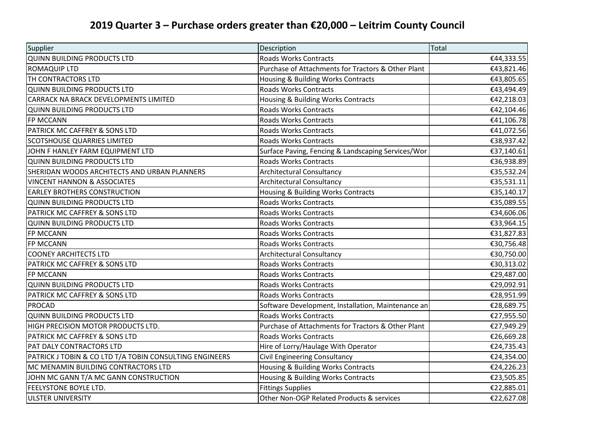## **2019 Quarter 3 – Purchase orders greater than €20,000 – Leitrim County Council**

| Supplier                                                | Description                                        | Total      |
|---------------------------------------------------------|----------------------------------------------------|------------|
| <b>QUINN BUILDING PRODUCTS LTD</b>                      | <b>Roads Works Contracts</b>                       | €44,333.55 |
| <b>ROMAQUIP LTD</b>                                     | Purchase of Attachments for Tractors & Other Plant | €43,821.46 |
| TH CONTRACTORS LTD                                      | Housing & Building Works Contracts                 | €43,805.65 |
| QUINN BUILDING PRODUCTS LTD                             | <b>Roads Works Contracts</b>                       | €43,494.49 |
| CARRACK NA BRACK DEVELOPMENTS LIMITED                   | Housing & Building Works Contracts                 | €42,218.03 |
| <b>QUINN BUILDING PRODUCTS LTD</b>                      | <b>Roads Works Contracts</b>                       | €42,104.46 |
| FP MCCANN                                               | <b>Roads Works Contracts</b>                       | €41,106.78 |
| PATRICK MC CAFFREY & SONS LTD                           | <b>Roads Works Contracts</b>                       | €41,072.56 |
| <b>SCOTSHOUSE QUARRIES LIMITED</b>                      | <b>Roads Works Contracts</b>                       | €38,937.42 |
| JOHN F HANLEY FARM EQUIPMENT LTD                        | Surface Paving, Fencing & Landscaping Services/Wor | €37,140.61 |
| <b>QUINN BUILDING PRODUCTS LTD</b>                      | <b>Roads Works Contracts</b>                       | €36,938.89 |
| SHERIDAN WOODS ARCHITECTS AND URBAN PLANNERS            | <b>Architectural Consultancy</b>                   | €35,532.24 |
| <b>VINCENT HANNON &amp; ASSOCIATES</b>                  | <b>Architectural Consultancy</b>                   | €35,531.11 |
| <b>EARLEY BROTHERS CONSTRUCTION</b>                     | Housing & Building Works Contracts                 | €35,140.17 |
| <b>QUINN BUILDING PRODUCTS LTD</b>                      | <b>Roads Works Contracts</b>                       | €35,089.55 |
| PATRICK MC CAFFREY & SONS LTD                           | <b>Roads Works Contracts</b>                       | €34,606.06 |
| <b>QUINN BUILDING PRODUCTS LTD</b>                      | <b>Roads Works Contracts</b>                       | €33,964.15 |
| FP MCCANN                                               | <b>Roads Works Contracts</b>                       | €31,827.83 |
| FP MCCANN                                               | <b>Roads Works Contracts</b>                       | €30,756.48 |
| <b>COONEY ARCHITECTS LTD</b>                            | <b>Architectural Consultancy</b>                   | €30,750.00 |
| PATRICK MC CAFFREY & SONS LTD                           | <b>Roads Works Contracts</b>                       | €30,313.02 |
| FP MCCANN                                               | <b>Roads Works Contracts</b>                       | €29,487.00 |
| <b>QUINN BUILDING PRODUCTS LTD</b>                      | <b>Roads Works Contracts</b>                       | €29,092.91 |
| PATRICK MC CAFFREY & SONS LTD                           | <b>Roads Works Contracts</b>                       | €28,951.99 |
| <b>PROCAD</b>                                           | Software Development, Installation, Maintenance an | €28,689.75 |
| <b>QUINN BUILDING PRODUCTS LTD</b>                      | <b>Roads Works Contracts</b>                       | €27,955.50 |
| HIGH PRECISION MOTOR PRODUCTS LTD.                      | Purchase of Attachments for Tractors & Other Plant | €27,949.29 |
| PATRICK MC CAFFREY & SONS LTD                           | <b>Roads Works Contracts</b>                       | €26,669.28 |
| PAT DALY CONTRACTORS LTD                                | Hire of Lorry/Haulage With Operator                | €24,735.43 |
| PATRICK J TOBIN & CO LTD T/A TOBIN CONSULTING ENGINEERS | <b>Civil Engineering Consultancy</b>               | €24,354.00 |
| MC MENAMIN BUILDING CONTRACTORS LTD                     | Housing & Building Works Contracts                 | €24,226.23 |
| JOHN MC GANN T/A MC GANN CONSTRUCTION                   | Housing & Building Works Contracts                 | €23,505.85 |
| <b>FEELYSTONE BOYLE LTD.</b>                            | <b>Fittings Supplies</b>                           | €22,885.01 |
| <b>ULSTER UNIVERSITY</b>                                | Other Non-OGP Related Products & services          | €22,627.08 |